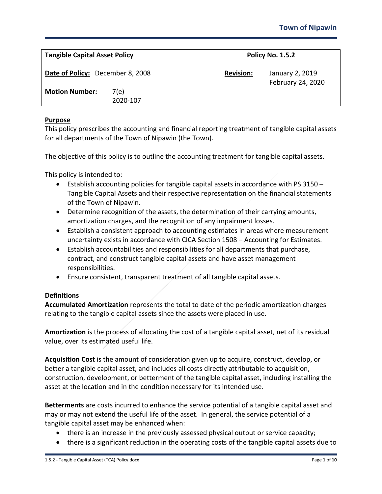| <b>Tangible Capital Asset Policy</b> |                  |                  | <b>Policy No. 1.5.2</b>              |  |
|--------------------------------------|------------------|------------------|--------------------------------------|--|
| Date of Policy: December 8, 2008     |                  | <b>Revision:</b> | January 2, 2019<br>February 24, 2020 |  |
| <b>Motion Number:</b>                | 7(e)<br>2020-107 |                  |                                      |  |

## **Purpose**

This policy prescribes the accounting and financial reporting treatment of tangible capital assets for all departments of the Town of Nipawin (the Town).

The objective of this policy is to outline the accounting treatment for tangible capital assets.

This policy is intended to:

- Establish accounting policies for tangible capital assets in accordance with PS 3150 Tangible Capital Assets and their respective representation on the financial statements of the Town of Nipawin.
- Determine recognition of the assets, the determination of their carrying amounts, amortization charges, and the recognition of any impairment losses.
- Establish a consistent approach to accounting estimates in areas where measurement uncertainty exists in accordance with CICA Section 1508 – Accounting for Estimates.
- Establish accountabilities and responsibilities for all departments that purchase, contract, and construct tangible capital assets and have asset management responsibilities.
- Ensure consistent, transparent treatment of all tangible capital assets.

### **Definitions**

**Accumulated Amortization** represents the total to date of the periodic amortization charges relating to the tangible capital assets since the assets were placed in use.

**Amortization** is the process of allocating the cost of a tangible capital asset, net of its residual value, over its estimated useful life.

**Acquisition Cost** is the amount of consideration given up to acquire, construct, develop, or better a tangible capital asset, and includes all costs directly attributable to acquisition, construction, development, or betterment of the tangible capital asset, including installing the asset at the location and in the condition necessary for its intended use.

**Betterments** are costs incurred to enhance the service potential of a tangible capital asset and may or may not extend the useful life of the asset. In general, the service potential of a tangible capital asset may be enhanced when:

- there is an increase in the previously assessed physical output or service capacity;
- there is a significant reduction in the operating costs of the tangible capital assets due to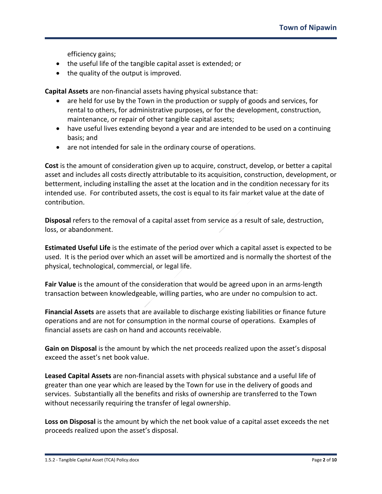efficiency gains;

- the useful life of the tangible capital asset is extended; or
- the quality of the output is improved.

**Capital Assets** are non-financial assets having physical substance that:

- are held for use by the Town in the production or supply of goods and services, for rental to others, for administrative purposes, or for the development, construction, maintenance, or repair of other tangible capital assets;
- have useful lives extending beyond a year and are intended to be used on a continuing basis; and
- are not intended for sale in the ordinary course of operations.

**Cost** is the amount of consideration given up to acquire, construct, develop, or better a capital asset and includes all costs directly attributable to its acquisition, construction, development, or betterment, including installing the asset at the location and in the condition necessary for its intended use. For contributed assets, the cost is equal to its fair market value at the date of contribution.

**Disposal** refers to the removal of a capital asset from service as a result of sale, destruction, loss, or abandonment.

**Estimated Useful Life** is the estimate of the period over which a capital asset is expected to be used. It is the period over which an asset will be amortized and is normally the shortest of the physical, technological, commercial, or legal life.

**Fair Value** is the amount of the consideration that would be agreed upon in an arms-length transaction between knowledgeable, willing parties, who are under no compulsion to act.

**Financial Assets** are assets that are available to discharge existing liabilities or finance future operations and are not for consumption in the normal course of operations. Examples of financial assets are cash on hand and accounts receivable.

**Gain on Disposal** is the amount by which the net proceeds realized upon the asset's disposal exceed the asset's net book value.

**Leased Capital Assets** are non-financial assets with physical substance and a useful life of greater than one year which are leased by the Town for use in the delivery of goods and services. Substantially all the benefits and risks of ownership are transferred to the Town without necessarily requiring the transfer of legal ownership.

**Loss on Disposal** is the amount by which the net book value of a capital asset exceeds the net proceeds realized upon the asset's disposal.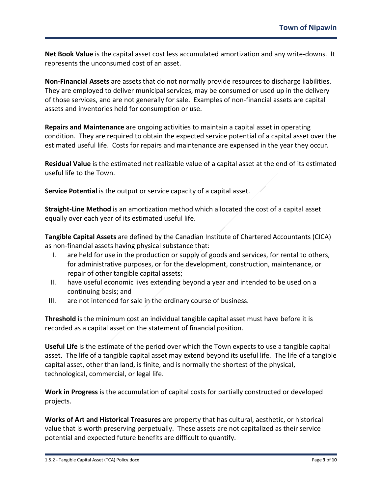**Net Book Value** is the capital asset cost less accumulated amortization and any write-downs. It represents the unconsumed cost of an asset.

**Non-Financial Assets** are assets that do not normally provide resources to discharge liabilities. They are employed to deliver municipal services, may be consumed or used up in the delivery of those services, and are not generally for sale. Examples of non-financial assets are capital assets and inventories held for consumption or use.

**Repairs and Maintenance** are ongoing activities to maintain a capital asset in operating condition. They are required to obtain the expected service potential of a capital asset over the estimated useful life. Costs for repairs and maintenance are expensed in the year they occur.

**Residual Value** is the estimated net realizable value of a capital asset at the end of its estimated useful life to the Town.

**Service Potential** is the output or service capacity of a capital asset.

**Straight-Line Method** is an amortization method which allocated the cost of a capital asset equally over each year of its estimated useful life.

**Tangible Capital Assets** are defined by the Canadian Institute of Chartered Accountants (CICA) as non-financial assets having physical substance that:

- I. are held for use in the production or supply of goods and services, for rental to others, for administrative purposes, or for the development, construction, maintenance, or repair of other tangible capital assets;
- II. have useful economic lives extending beyond a year and intended to be used on a continuing basis; and
- III. are not intended for sale in the ordinary course of business.

**Threshold** is the minimum cost an individual tangible capital asset must have before it is recorded as a capital asset on the statement of financial position.

**Useful Life** is the estimate of the period over which the Town expects to use a tangible capital asset. The life of a tangible capital asset may extend beyond its useful life. The life of a tangible capital asset, other than land, is finite, and is normally the shortest of the physical, technological, commercial, or legal life.

**Work in Progress** is the accumulation of capital costs for partially constructed or developed projects.

**Works of Art and Historical Treasures** are property that has cultural, aesthetic, or historical value that is worth preserving perpetually. These assets are not capitalized as their service potential and expected future benefits are difficult to quantify.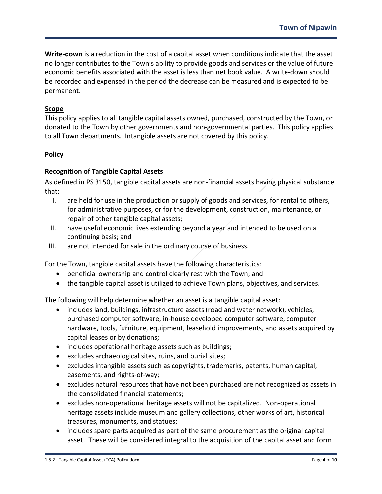**Write-down** is a reduction in the cost of a capital asset when conditions indicate that the asset no longer contributes to the Town's ability to provide goods and services or the value of future economic benefits associated with the asset is less than net book value. A write-down should be recorded and expensed in the period the decrease can be measured and is expected to be permanent.

# **Scope**

This policy applies to all tangible capital assets owned, purchased, constructed by the Town, or donated to the Town by other governments and non-governmental parties. This policy applies to all Town departments. Intangible assets are not covered by this policy.

# **Policy**

# **Recognition of Tangible Capital Assets**

As defined in PS 3150, tangible capital assets are non-financial assets having physical substance that:

- I. are held for use in the production or supply of goods and services, for rental to others, for administrative purposes, or for the development, construction, maintenance, or repair of other tangible capital assets;
- II. have useful economic lives extending beyond a year and intended to be used on a continuing basis; and
- III. are not intended for sale in the ordinary course of business.

For the Town, tangible capital assets have the following characteristics:

- beneficial ownership and control clearly rest with the Town; and
- the tangible capital asset is utilized to achieve Town plans, objectives, and services.

The following will help determine whether an asset is a tangible capital asset:

- includes land, buildings, infrastructure assets (road and water network), vehicles, purchased computer software, in-house developed computer software, computer hardware, tools, furniture, equipment, leasehold improvements, and assets acquired by capital leases or by donations;
- includes operational heritage assets such as buildings;
- excludes archaeological sites, ruins, and burial sites;
- excludes intangible assets such as copyrights, trademarks, patents, human capital, easements, and rights-of-way;
- excludes natural resources that have not been purchased are not recognized as assets in the consolidated financial statements;
- excludes non-operational heritage assets will not be capitalized. Non-operational heritage assets include museum and gallery collections, other works of art, historical treasures, monuments, and statues;
- includes spare parts acquired as part of the same procurement as the original capital asset. These will be considered integral to the acquisition of the capital asset and form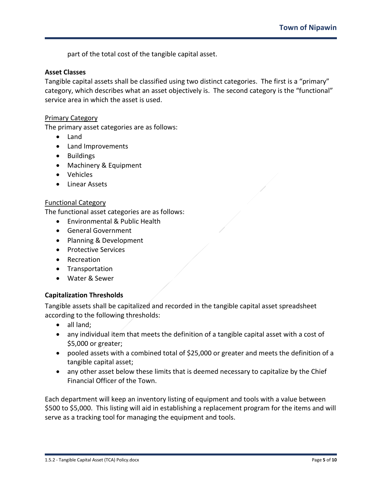part of the total cost of the tangible capital asset.

### **Asset Classes**

Tangible capital assets shall be classified using two distinct categories. The first is a "primary" category, which describes what an asset objectively is. The second category is the "functional" service area in which the asset is used.

#### Primary Category

The primary asset categories are as follows:

- Land
- Land Improvements
- Buildings
- Machinery & Equipment
- Vehicles
- Linear Assets

#### Functional Category

The functional asset categories are as follows:

- Environmental & Public Health
- General Government
- Planning & Development
- Protective Services
- Recreation
- Transportation
- Water & Sewer

### **Capitalization Thresholds**

Tangible assets shall be capitalized and recorded in the tangible capital asset spreadsheet according to the following thresholds:

- all land;
- any individual item that meets the definition of a tangible capital asset with a cost of \$5,000 or greater;
- pooled assets with a combined total of \$25,000 or greater and meets the definition of a tangible capital asset;
- any other asset below these limits that is deemed necessary to capitalize by the Chief Financial Officer of the Town.

Each department will keep an inventory listing of equipment and tools with a value between \$500 to \$5,000. This listing will aid in establishing a replacement program for the items and will serve as a tracking tool for managing the equipment and tools.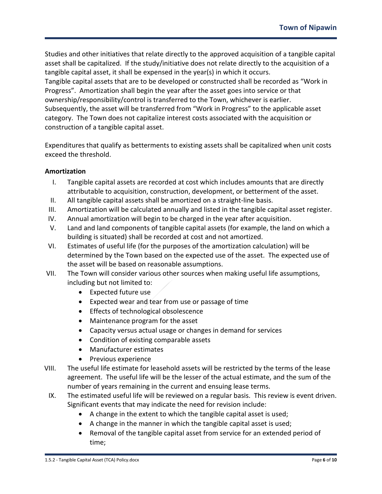Studies and other initiatives that relate directly to the approved acquisition of a tangible capital asset shall be capitalized. If the study/initiative does not relate directly to the acquisition of a tangible capital asset, it shall be expensed in the year(s) in which it occurs. Tangible capital assets that are to be developed or constructed shall be recorded as "Work in Progress". Amortization shall begin the year after the asset goes into service or that ownership/responsibility/control is transferred to the Town, whichever is earlier. Subsequently, the asset will be transferred from "Work in Progress" to the applicable asset category. The Town does not capitalize interest costs associated with the acquisition or construction of a tangible capital asset.

Expenditures that qualify as betterments to existing assets shall be capitalized when unit costs exceed the threshold.

# **Amortization**

- I. Tangible capital assets are recorded at cost which includes amounts that are directly attributable to acquisition, construction, development, or betterment of the asset.
- II. All tangible capital assets shall be amortized on a straight-line basis.
- III. Amortization will be calculated annually and listed in the tangible capital asset register.
- IV. Annual amortization will begin to be charged in the year after acquisition.
- V. Land and land components of tangible capital assets (for example, the land on which a building is situated) shall be recorded at cost and not amortized.
- VI. Estimates of useful life (for the purposes of the amortization calculation) will be determined by the Town based on the expected use of the asset. The expected use of the asset will be based on reasonable assumptions.
- VII. The Town will consider various other sources when making useful life assumptions, including but not limited to:
	- Expected future use
	- Expected wear and tear from use or passage of time
	- Effects of technological obsolescence
	- Maintenance program for the asset
	- Capacity versus actual usage or changes in demand for services
	- Condition of existing comparable assets
	- Manufacturer estimates
	- Previous experience
- VIII. The useful life estimate for leasehold assets will be restricted by the terms of the lease agreement. The useful life will be the lesser of the actual estimate, and the sum of the number of years remaining in the current and ensuing lease terms.
- IX. The estimated useful life will be reviewed on a regular basis. This review is event driven. Significant events that may indicate the need for revision include:
	- A change in the extent to which the tangible capital asset is used;
	- A change in the manner in which the tangible capital asset is used;
	- Removal of the tangible capital asset from service for an extended period of time;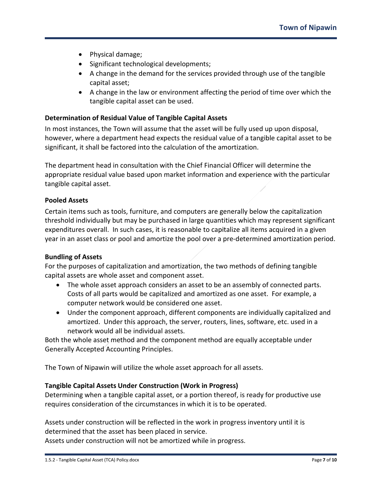- Physical damage;
- Significant technological developments;
- A change in the demand for the services provided through use of the tangible capital asset;
- A change in the law or environment affecting the period of time over which the tangible capital asset can be used.

## **Determination of Residual Value of Tangible Capital Assets**

In most instances, the Town will assume that the asset will be fully used up upon disposal, however, where a department head expects the residual value of a tangible capital asset to be significant, it shall be factored into the calculation of the amortization.

The department head in consultation with the Chief Financial Officer will determine the appropriate residual value based upon market information and experience with the particular tangible capital asset.

### **Pooled Assets**

Certain items such as tools, furniture, and computers are generally below the capitalization threshold individually but may be purchased in large quantities which may represent significant expenditures overall. In such cases, it is reasonable to capitalize all items acquired in a given year in an asset class or pool and amortize the pool over a pre-determined amortization period.

### **Bundling of Assets**

For the purposes of capitalization and amortization, the two methods of defining tangible capital assets are whole asset and component asset.

- The whole asset approach considers an asset to be an assembly of connected parts. Costs of all parts would be capitalized and amortized as one asset. For example, a computer network would be considered one asset.
- Under the component approach, different components are individually capitalized and amortized. Under this approach, the server, routers, lines, software, etc. used in a network would all be individual assets.

Both the whole asset method and the component method are equally acceptable under Generally Accepted Accounting Principles.

The Town of Nipawin will utilize the whole asset approach for all assets.

## **Tangible Capital Assets Under Construction (Work in Progress)**

Determining when a tangible capital asset, or a portion thereof, is ready for productive use requires consideration of the circumstances in which it is to be operated.

Assets under construction will be reflected in the work in progress inventory until it is determined that the asset has been placed in service.

Assets under construction will not be amortized while in progress.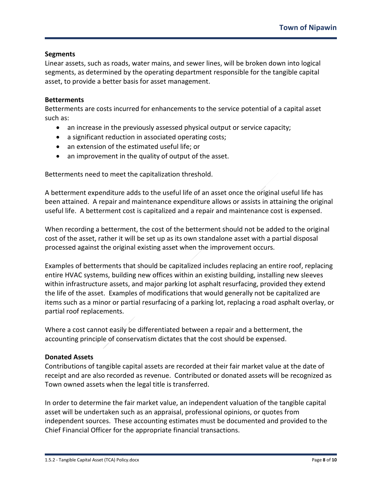## **Segments**

Linear assets, such as roads, water mains, and sewer lines, will be broken down into logical segments, as determined by the operating department responsible for the tangible capital asset, to provide a better basis for asset management.

## **Betterments**

Betterments are costs incurred for enhancements to the service potential of a capital asset such as:

- an increase in the previously assessed physical output or service capacity;
- a significant reduction in associated operating costs;
- an extension of the estimated useful life; or
- an improvement in the quality of output of the asset.

Betterments need to meet the capitalization threshold.

A betterment expenditure adds to the useful life of an asset once the original useful life has been attained. A repair and maintenance expenditure allows or assists in attaining the original useful life. A betterment cost is capitalized and a repair and maintenance cost is expensed.

When recording a betterment, the cost of the betterment should not be added to the original cost of the asset, rather it will be set up as its own standalone asset with a partial disposal processed against the original existing asset when the improvement occurs.

Examples of betterments that should be capitalized includes replacing an entire roof, replacing entire HVAC systems, building new offices within an existing building, installing new sleeves within infrastructure assets, and major parking lot asphalt resurfacing, provided they extend the life of the asset. Examples of modifications that would generally not be capitalized are items such as a minor or partial resurfacing of a parking lot, replacing a road asphalt overlay, or partial roof replacements.

Where a cost cannot easily be differentiated between a repair and a betterment, the accounting principle of conservatism dictates that the cost should be expensed.

## **Donated Assets**

Contributions of tangible capital assets are recorded at their fair market value at the date of receipt and are also recorded as revenue. Contributed or donated assets will be recognized as Town owned assets when the legal title is transferred.

In order to determine the fair market value, an independent valuation of the tangible capital asset will be undertaken such as an appraisal, professional opinions, or quotes from independent sources. These accounting estimates must be documented and provided to the Chief Financial Officer for the appropriate financial transactions.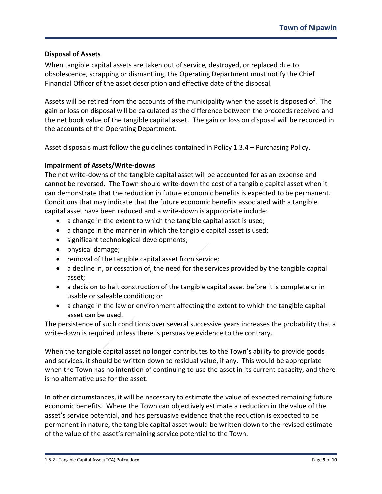## **Disposal of Assets**

When tangible capital assets are taken out of service, destroyed, or replaced due to obsolescence, scrapping or dismantling, the Operating Department must notify the Chief Financial Officer of the asset description and effective date of the disposal.

Assets will be retired from the accounts of the municipality when the asset is disposed of. The gain or loss on disposal will be calculated as the difference between the proceeds received and the net book value of the tangible capital asset. The gain or loss on disposal will be recorded in the accounts of the Operating Department.

Asset disposals must follow the guidelines contained in Policy 1.3.4 – Purchasing Policy.

## **Impairment of Assets/Write-downs**

The net write-downs of the tangible capital asset will be accounted for as an expense and cannot be reversed. The Town should write-down the cost of a tangible capital asset when it can demonstrate that the reduction in future economic benefits is expected to be permanent. Conditions that may indicate that the future economic benefits associated with a tangible capital asset have been reduced and a write-down is appropriate include:

- a change in the extent to which the tangible capital asset is used;
- a change in the manner in which the tangible capital asset is used;
- significant technological developments;
- physical damage;
- removal of the tangible capital asset from service;
- a decline in, or cessation of, the need for the services provided by the tangible capital asset;
- a decision to halt construction of the tangible capital asset before it is complete or in usable or saleable condition; or
- a change in the law or environment affecting the extent to which the tangible capital asset can be used.

The persistence of such conditions over several successive years increases the probability that a write-down is required unless there is persuasive evidence to the contrary.

When the tangible capital asset no longer contributes to the Town's ability to provide goods and services, it should be written down to residual value, if any. This would be appropriate when the Town has no intention of continuing to use the asset in its current capacity, and there is no alternative use for the asset.

In other circumstances, it will be necessary to estimate the value of expected remaining future economic benefits. Where the Town can objectively estimate a reduction in the value of the asset's service potential, and has persuasive evidence that the reduction is expected to be permanent in nature, the tangible capital asset would be written down to the revised estimate of the value of the asset's remaining service potential to the Town.